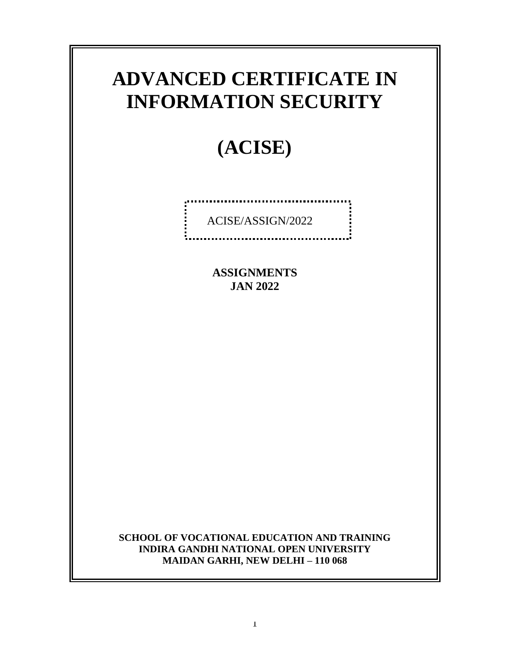# **ADVANCED CERTIFICATE IN INFORMATION SECURITY**

# **(ACISE)**

ACISE/ASSIGN/2022

.................................

**ASSIGNMENTS JAN 2022**

**SCHOOL OF VOCATIONAL EDUCATION AND TRAINING INDIRA GANDHI NATIONAL OPEN UNIVERSITY MAIDAN GARHI, NEW DELHI – 110 068**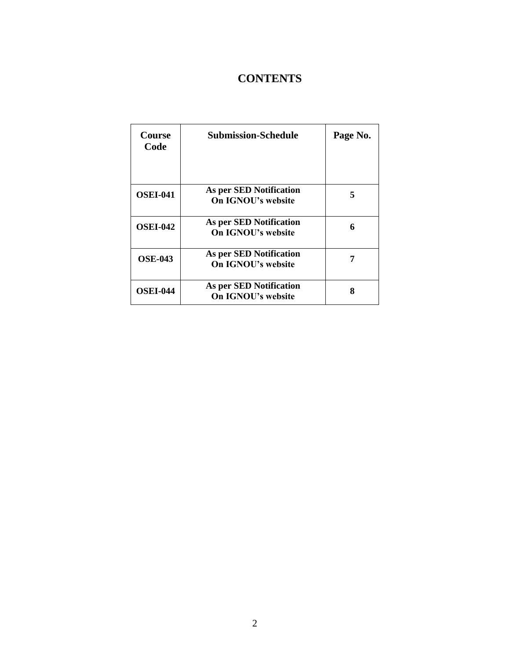# **CONTENTS**

| <b>Course</b><br>Code | <b>Submission-Schedule</b>                           | Page No. |
|-----------------------|------------------------------------------------------|----------|
| <b>OSEI-041</b>       | As per SED Notification<br>On IGNOU's website        | 5        |
| <b>OSEI-042</b>       | As per SED Notification<br><b>On IGNOU's website</b> | 6        |
| <b>OSE-043</b>        | As per SED Notification<br><b>On IGNOU's website</b> |          |
| <b>OSEI-044</b>       | As per SED Notification<br><b>On IGNOU's website</b> | 8        |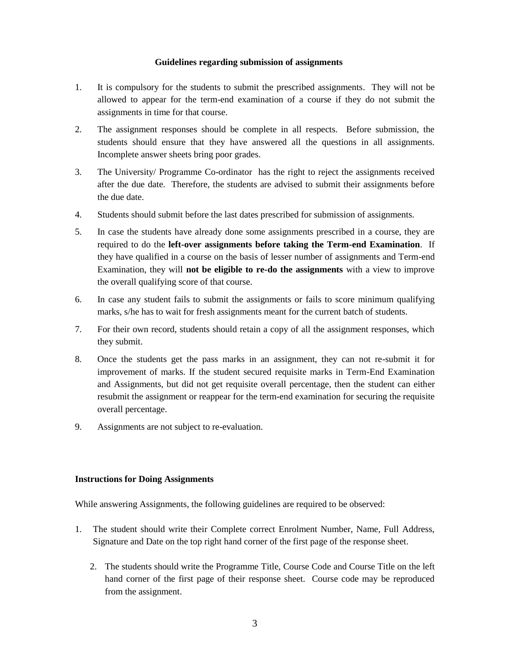#### **Guidelines regarding submission of assignments**

- 1. It is compulsory for the students to submit the prescribed assignments. They will not be allowed to appear for the term-end examination of a course if they do not submit the assignments in time for that course.
- 2. The assignment responses should be complete in all respects. Before submission, the students should ensure that they have answered all the questions in all assignments. Incomplete answer sheets bring poor grades.
- 3. The University/ Programme Co-ordinator has the right to reject the assignments received after the due date. Therefore, the students are advised to submit their assignments before the due date.
- 4. Students should submit before the last dates prescribed for submission of assignments.
- 5. In case the students have already done some assignments prescribed in a course, they are required to do the **left-over assignments before taking the Term-end Examination**. If they have qualified in a course on the basis of lesser number of assignments and Term-end Examination, they will **not be eligible to re-do the assignments** with a view to improve the overall qualifying score of that course.
- 6. In case any student fails to submit the assignments or fails to score minimum qualifying marks, s/he has to wait for fresh assignments meant for the current batch of students.
- 7. For their own record, students should retain a copy of all the assignment responses, which they submit.
- 8. Once the students get the pass marks in an assignment, they can not re-submit it for improvement of marks. If the student secured requisite marks in Term-End Examination and Assignments, but did not get requisite overall percentage, then the student can either resubmit the assignment or reappear for the term-end examination for securing the requisite overall percentage.
- 9. Assignments are not subject to re-evaluation.

#### **Instructions for Doing Assignments**

While answering Assignments, the following guidelines are required to be observed:

- 1. The student should write their Complete correct Enrolment Number, Name, Full Address, Signature and Date on the top right hand corner of the first page of the response sheet.
	- 2. The students should write the Programme Title, Course Code and Course Title on the left hand corner of the first page of their response sheet. Course code may be reproduced from the assignment.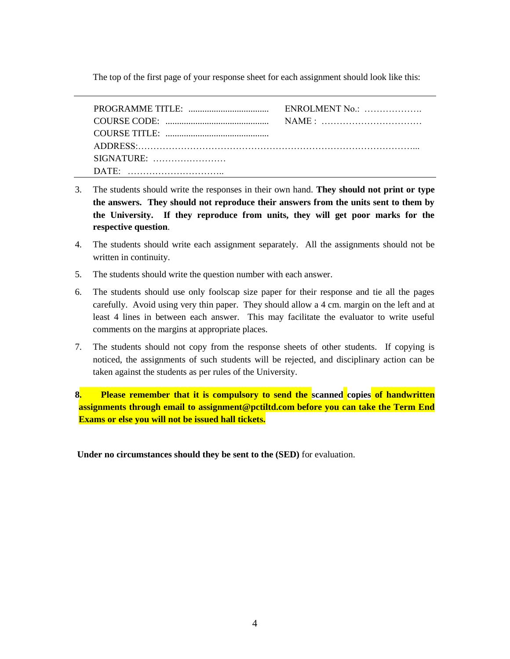The top of the first page of your response sheet for each assignment should look like this:

| DATE: $\ldots$ |  |
|----------------|--|

- 3. The students should write the responses in their own hand. **They should not print or type the answers. They should not reproduce their answers from the units sent to them by the University. If they reproduce from units, they will get poor marks for the respective question**.
- 4. The students should write each assignment separately. All the assignments should not be written in continuity.
- 5. The students should write the question number with each answer.
- 6. The students should use only foolscap size paper for their response and tie all the pages carefully. Avoid using very thin paper. They should allow a 4 cm. margin on the left and at least 4 lines in between each answer. This may facilitate the evaluator to write useful comments on the margins at appropriate places.
- 7. The students should not copy from the response sheets of other students. If copying is noticed, the assignments of such students will be rejected, and disciplinary action can be taken against the students as per rules of the University.

**8. Please remember that it is compulsory to send the scanned copies of handwritten assignments through email to assignment@pctiltd.com before you can take the Term End Exams or else you will not be issued hall tickets.** 

**Under no circumstances should they be sent to the (SED)** for evaluation.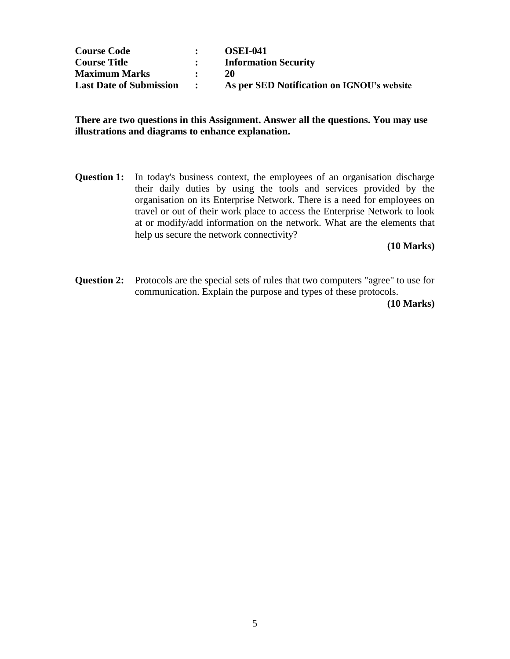| <b>Course Code</b>             |                           | <b>OSEI-041</b>                            |
|--------------------------------|---------------------------|--------------------------------------------|
| <b>Course Title</b>            |                           | <b>Information Security</b>                |
| <b>Maximum Marks</b>           |                           | <b>20</b>                                  |
| <b>Last Date of Submission</b> | $\mathbf{r} = \mathbf{r}$ | As per SED Notification on IGNOU's website |

### **There are two questions in this Assignment. Answer all the questions. You may use illustrations and diagrams to enhance explanation.**

**Question 1:** In today's business context, the employees of an organisation discharge their daily duties by using the tools and services provided by the organisation on its Enterprise Network. There is a need for employees on travel or out of their work place to access the Enterprise Network to look at or modify/add information on the network. What are the elements that help us secure the network connectivity?

**(10 Marks)**

**Question 2:** Protocols are the special sets of rules that two computers "agree" to use for communication. Explain the purpose and types of these protocols.

 **(10 Marks)**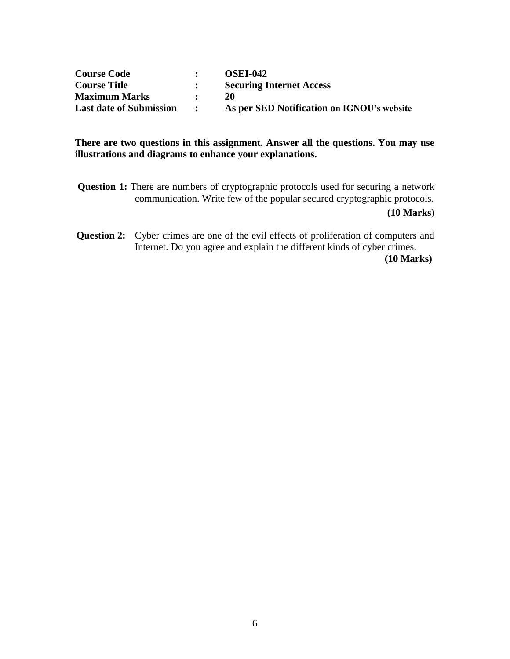| <b>Course Code</b>             |                     | <b>OSEI-042</b>                            |
|--------------------------------|---------------------|--------------------------------------------|
| <b>Course Title</b>            |                     | <b>Securing Internet Access</b>            |
| <b>Maximum Marks</b>           |                     | 20                                         |
| <b>Last date of Submission</b> | $\sim$ 1.000 $\sim$ | As per SED Notification on IGNOU's website |

## **There are two questions in this assignment. Answer all the questions. You may use illustrations and diagrams to enhance your explanations.**

- **Question 1:** There are numbers of cryptographic protocols used for securing a network communication. Write few of the popular secured cryptographic protocols. **(10 Marks)**
- **Question 2:** Cyber crimes are one of the evil effects of proliferation of computers and Internet. Do you agree and explain the different kinds of cyber crimes. **(10 Marks)**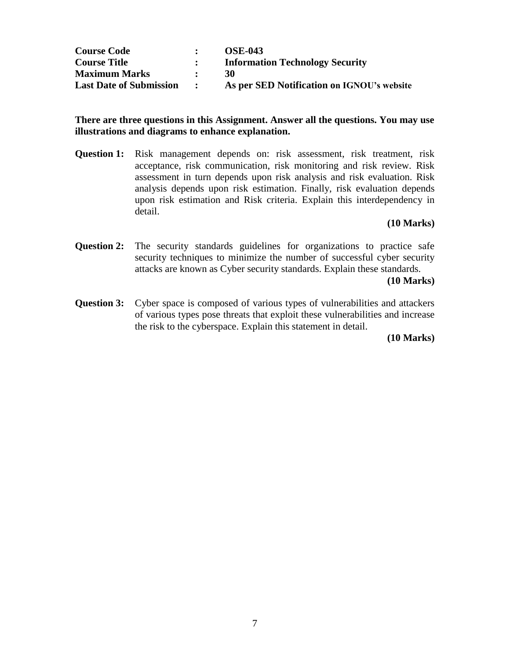| <b>Course Code</b>             |                      | <b>OSE-043</b>                             |
|--------------------------------|----------------------|--------------------------------------------|
| <b>Course Title</b>            |                      | <b>Information Technology Security</b>     |
| <b>Maximum Marks</b>           |                      | 30                                         |
| <b>Last Date of Submission</b> | $\sim$ $\sim$ $\sim$ | As per SED Notification on IGNOU's website |

### **There are three questions in this Assignment. Answer all the questions. You may use illustrations and diagrams to enhance explanation.**

**Question 1:** Risk management depends on: risk assessment, risk treatment, risk acceptance, risk communication, risk monitoring and risk review. Risk assessment in turn depends upon risk analysis and risk evaluation. Risk analysis depends upon risk estimation. Finally, risk evaluation depends upon risk estimation and Risk criteria. Explain this interdependency in detail.

#### **(10 Marks)**

**Question 2:** The security standards guidelines for organizations to practice safe security techniques to minimize the number of successful cyber security attacks are known as Cyber security standards. Explain these standards.

#### **(10 Marks)**

**Question 3:** Cyber space is composed of various types of vulnerabilities and attackers of various types pose threats that exploit these vulnerabilities and increase the risk to the cyberspace. Explain this statement in detail.

**(10 Marks)**